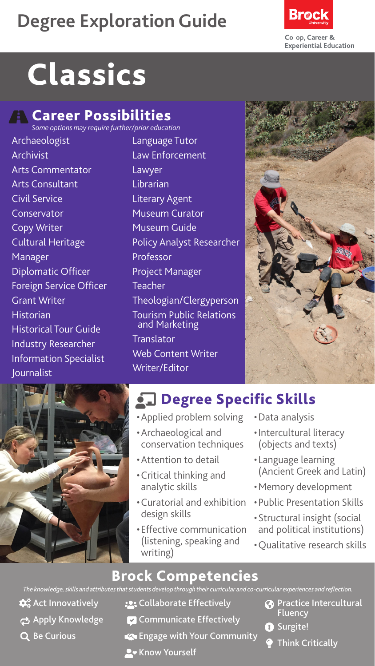# **Degree Exploration Guide**



# **Classics**

## **R** Career Possibilities

*Some options may require further/prior education*

- Archaeologist Archivist Arts Commentator Arts Consultant Civil Service Conservator Copy Writer Cultural Heritage Manager Diplomatic Officer Foreign Service Officer Grant Writer **Historian** Historical Tour Guide Industry Researcher Information Specialist Journalist
- Language Tutor Law Enforcement **Lawyer** Librarian Literary Agent Museum Curator Museum Guide Policy Analyst Researcher Professor Project Manager Teacher Theologian/Clergyperson Tourism Public Relations and Marketing **Translator** Web Content Writer Writer/Editor





# **chalace Specific Skills**

- •Applied problem solving
- •Archaeological and conservation techniques
- •Attention to detail
- •Critical thinking and analytic skills
- •Curatorial and exhibition design skills
- •Effective communication (listening, speaking and writing)
- •Data analysis
- •Intercultural literacy (objects and texts)
- Language learning (Ancient Greek and Latin)
- •Memory development
- •Public Presentation Skills
- •Structural insight (social and political institutions)
- •Qualitative research skills

#### Brock Competencies

*The knowledge, skills and attributes that students develop through their curricular and co-curricular experiences and reflection.*

- $\mathbf{\hat{\alpha}}^{\circ}_{\mathbf{o}}$  Act Innovatively
- ch Apply Knowledge
- Q Be Curious
- **:** Collaborate Effectively
- **Communicate Effectively**
- **Engage with Your Community**
- **A** Know Yourself
- **Practice Intercultural Fluency**
- **O** Surgite!
	- Think Critically